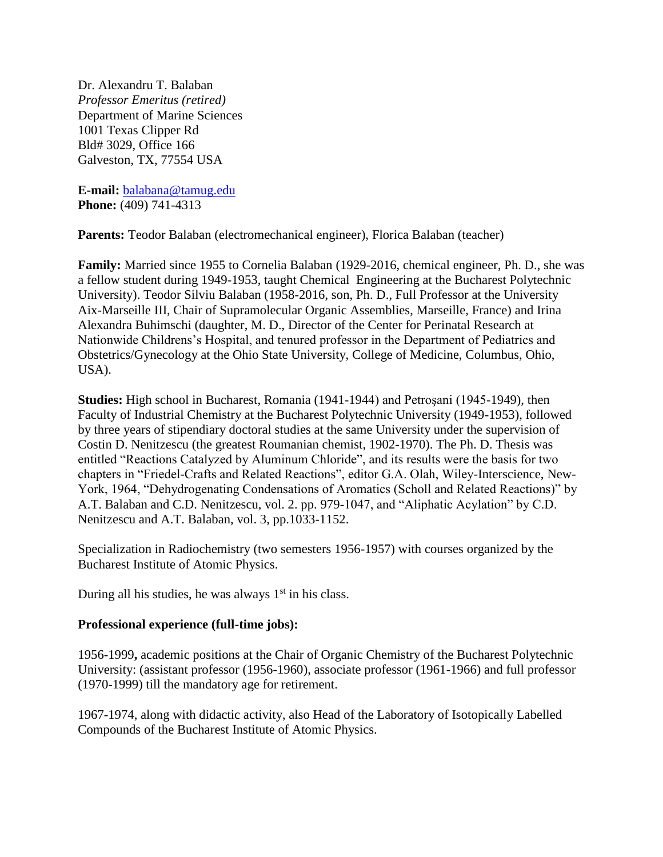Dr. Alexandru T. Balaban *Professor Emeritus (retired)* Department of Marine Sciences 1001 Texas Clipper Rd Bld# 3029, Office 166 Galveston, TX, 77554 USA

**E-mail:** [balabana@tamug.edu](mailto:balabana@tamug.edu) **Phone:** (409) 741-4313

Parents: Teodor Balaban (electromechanical engineer), Florica Balaban (teacher)

**Family:** Married since 1955 to Cornelia Balaban (1929-2016, chemical engineer, Ph. D., she was a fellow student during 1949-1953, taught Chemical Engineering at the Bucharest Polytechnic University). Teodor Silviu Balaban (1958-2016, son, Ph. D., Full Professor at the University Aix-Marseille III, Chair of Supramolecular Organic Assemblies, Marseille, France) and Irina Alexandra Buhimschi (daughter, M. D., Director of the Center for Perinatal Research at Nationwide Childrens's Hospital, and tenured professor in the Department of Pediatrics and Obstetrics/Gynecology at the Ohio State University, College of Medicine, Columbus, Ohio, USA).

**Studies:** High school in Bucharest, Romania (1941-1944) and Petroşani (1945-1949), then Faculty of Industrial Chemistry at the Bucharest Polytechnic University (1949-1953), followed by three years of stipendiary doctoral studies at the same University under the supervision of Costin D. Nenitzescu (the greatest Roumanian chemist, 1902-1970). The Ph. D. Thesis was entitled "Reactions Catalyzed by Aluminum Chloride", and its results were the basis for two chapters in "Friedel-Crafts and Related Reactions", editor G.A. Olah, Wiley-Interscience, New-York, 1964, "Dehydrogenating Condensations of Aromatics (Scholl and Related Reactions)" by A.T. Balaban and C.D. Nenitzescu, vol. 2. pp. 979-1047, and "Aliphatic Acylation" by C.D. Nenitzescu and A.T. Balaban, vol. 3, pp.1033-1152.

Specialization in Radiochemistry (two semesters 1956-1957) with courses organized by the Bucharest Institute of Atomic Physics.

During all his studies, he was always  $1<sup>st</sup>$  in his class.

# **Professional experience (full-time jobs):**

1956-1999**,** academic positions at the Chair of Organic Chemistry of the Bucharest Polytechnic University: (assistant professor (1956-1960), associate professor (1961-1966) and full professor (1970-1999) till the mandatory age for retirement.

1967-1974, along with didactic activity, also Head of the Laboratory of Isotopically Labelled Compounds of the Bucharest Institute of Atomic Physics.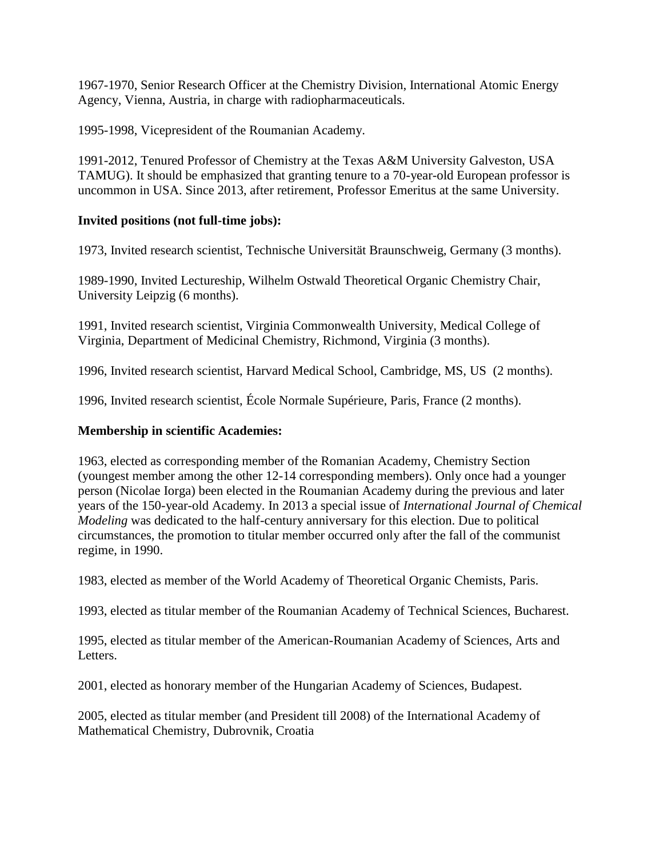1967-1970, Senior Research Officer at the Chemistry Division, International Atomic Energy Agency, Vienna, Austria, in charge with radiopharmaceuticals.

1995-1998, Vicepresident of the Roumanian Academy.

1991-2012, Tenured Professor of Chemistry at the Texas A&M University Galveston, USA TAMUG). It should be emphasized that granting tenure to a 70-year-old European professor is uncommon in USA. Since 2013, after retirement, Professor Emeritus at the same University.

# **Invited positions (not full-time jobs):**

1973, Invited research scientist, Technische Universität Braunschweig, Germany (3 months).

1989-1990, Invited Lectureship, Wilhelm Ostwald Theoretical Organic Chemistry Chair, University Leipzig (6 months).

1991, Invited research scientist, Virginia Commonwealth University, Medical College of Virginia, Department of Medicinal Chemistry, Richmond, Virginia (3 months).

1996, Invited research scientist, Harvard Medical School, Cambridge, MS, US (2 months).

1996, Invited research scientist, École Normale Supérieure, Paris, France (2 months).

### **Membership in scientific Academies:**

1963, elected as corresponding member of the Romanian Academy, Chemistry Section (youngest member among the other 12-14 corresponding members). Only once had a younger person (Nicolae Iorga) been elected in the Roumanian Academy during the previous and later years of the 150-year-old Academy. In 2013 a special issue of *International Journal of Chemical Modeling* was dedicated to the half-century anniversary for this election. Due to political circumstances, the promotion to titular member occurred only after the fall of the communist regime, in 1990.

1983, elected as member of the World Academy of Theoretical Organic Chemists, Paris.

1993, elected as titular member of the Roumanian Academy of Technical Sciences, Bucharest.

1995, elected as titular member of the American-Roumanian Academy of Sciences, Arts and Letters.

2001, elected as honorary member of the Hungarian Academy of Sciences, Budapest.

2005, elected as titular member (and President till 2008) of the International Academy of Mathematical Chemistry, Dubrovnik, Croatia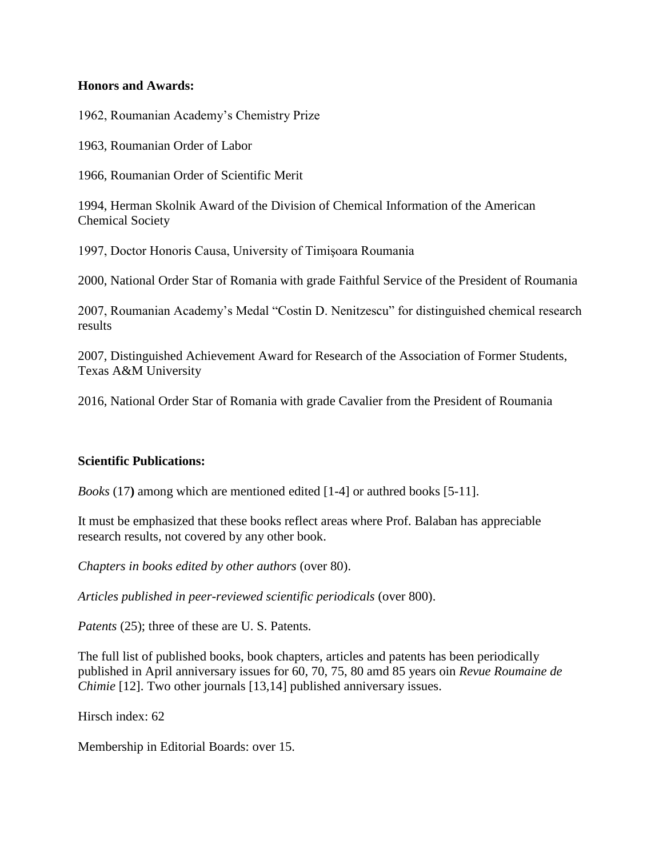### **Honors and Awards:**

1962, Roumanian Academy's Chemistry Prize

1963, Roumanian Order of Labor

1966, Roumanian Order of Scientific Merit

1994, Herman Skolnik Award of the Division of Chemical Information of the American Chemical Society

1997, Doctor Honoris Causa, University of Timişoara Roumania

2000, National Order Star of Romania with grade Faithful Service of the President of Roumania

2007, Roumanian Academy's Medal "Costin D. Nenitzescu" for distinguished chemical research results

2007, Distinguished Achievement Award for Research of the Association of Former Students, Texas A&M University

2016, National Order Star of Romania with grade Cavalier from the President of Roumania

#### **Scientific Publications:**

*Books* (17**)** among which are mentioned edited [1-4] or authred books [5-11].

It must be emphasized that these books reflect areas where Prof. Balaban has appreciable research results, not covered by any other book.

*Chapters in books edited by other authors* (over 80).

*Articles published in peer-reviewed scientific periodicals* (over 800).

*Patents* (25); three of these are U. S. Patents.

The full list of published books, book chapters, articles and patents has been periodically published in April anniversary issues for 60, 70, 75, 80 amd 85 years oin *Revue Roumaine de Chimie* [12]. Two other journals [13,14] published anniversary issues.

Hirsch index: 62

Membership in Editorial Boards: over 15.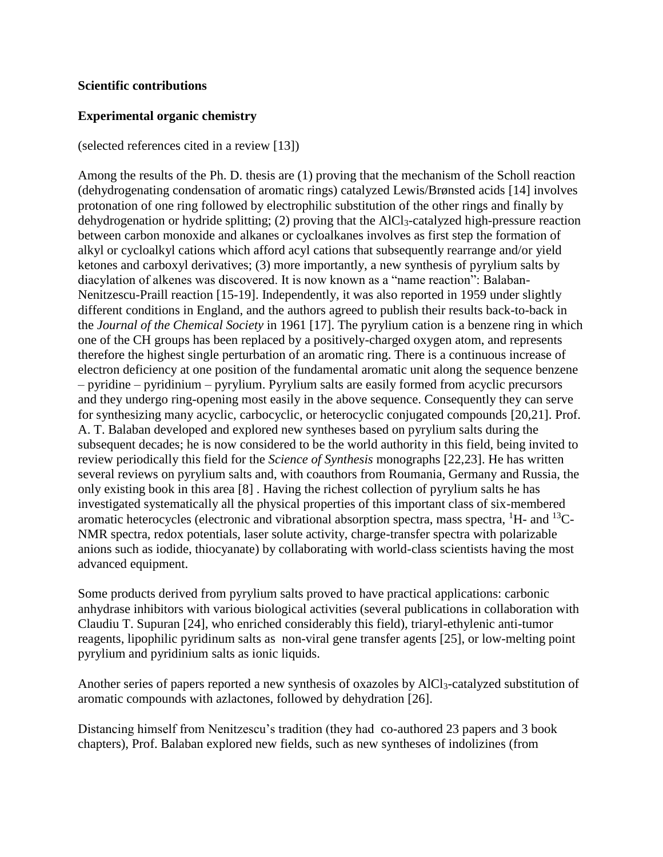### **Scientific contributions**

# **Experimental organic chemistry**

(selected references cited in a review [13])

Among the results of the Ph. D. thesis are (1) proving that the mechanism of the Scholl reaction (dehydrogenating condensation of aromatic rings) catalyzed Lewis/Brønsted acids [14] involves protonation of one ring followed by electrophilic substitution of the other rings and finally by dehydrogenation or hydride splitting; (2) proving that the AlCl3-catalyzed high-pressure reaction between carbon monoxide and alkanes or cycloalkanes involves as first step the formation of alkyl or cycloalkyl cations which afford acyl cations that subsequently rearrange and/or yield ketones and carboxyl derivatives; (3) more importantly, a new synthesis of pyrylium salts by diacylation of alkenes was discovered. It is now known as a "name reaction": Balaban-Nenitzescu-Praill reaction [15-19]. Independently, it was also reported in 1959 under slightly different conditions in England, and the authors agreed to publish their results back-to-back in the *Journal of the Chemical Society* in 1961 [17]. The pyrylium cation is a benzene ring in which one of the CH groups has been replaced by a positively-charged oxygen atom, and represents therefore the highest single perturbation of an aromatic ring. There is a continuous increase of electron deficiency at one position of the fundamental aromatic unit along the sequence benzene – pyridine – pyridinium – pyrylium. Pyrylium salts are easily formed from acyclic precursors and they undergo ring-opening most easily in the above sequence. Consequently they can serve for synthesizing many acyclic, carbocyclic, or heterocyclic conjugated compounds [20,21]. Prof. A. T. Balaban developed and explored new syntheses based on pyrylium salts during the subsequent decades; he is now considered to be the world authority in this field, being invited to review periodically this field for the *Science of Synthesis* monographs [22,23]. He has written several reviews on pyrylium salts and, with coauthors from Roumania, Germany and Russia, the only existing book in this area [8] . Having the richest collection of pyrylium salts he has investigated systematically all the physical properties of this important class of six-membered aromatic heterocycles (electronic and vibrational absorption spectra, mass spectra,  ${}^{1}$ H- and  ${}^{13}$ C-NMR spectra, redox potentials, laser solute activity, charge-transfer spectra with polarizable anions such as iodide, thiocyanate) by collaborating with world-class scientists having the most advanced equipment.

Some products derived from pyrylium salts proved to have practical applications: carbonic anhydrase inhibitors with various biological activities (several publications in collaboration with Claudiu T. Supuran [24], who enriched considerably this field), triaryl-ethylenic anti-tumor reagents, lipophilic pyridinum salts as non-viral gene transfer agents [25], or low-melting point pyrylium and pyridinium salts as ionic liquids.

Another series of papers reported a new synthesis of oxazoles by AlCl<sub>3</sub>-catalyzed substitution of aromatic compounds with azlactones, followed by dehydration [26].

Distancing himself from Nenitzescu's tradition (they had co-authored 23 papers and 3 book chapters), Prof. Balaban explored new fields, such as new syntheses of indolizines (from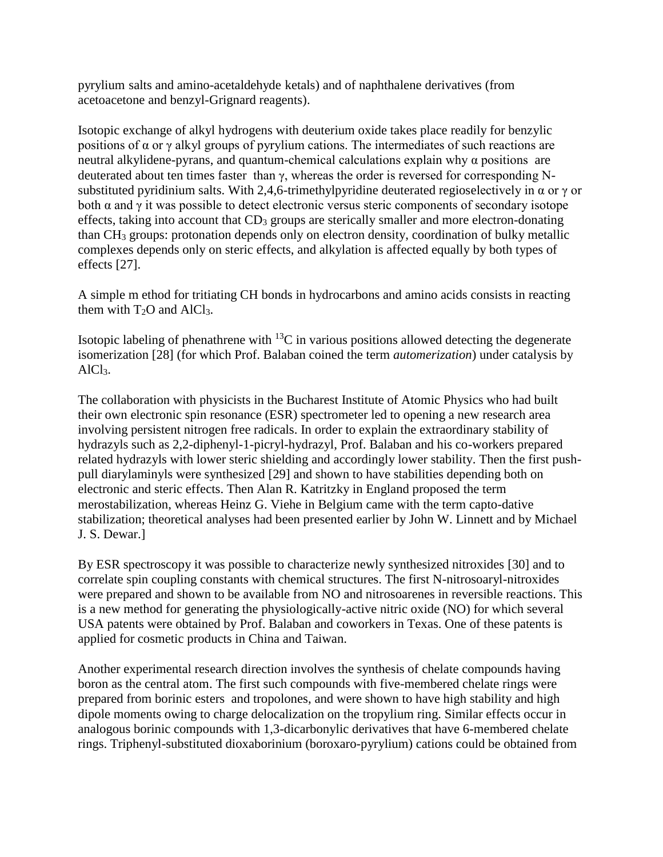pyrylium salts and amino-acetaldehyde ketals) and of naphthalene derivatives (from acetoacetone and benzyl-Grignard reagents).

Isotopic exchange of alkyl hydrogens with deuterium oxide takes place readily for benzylic positions of  $\alpha$  or  $\gamma$  alkyl groups of pyrylium cations. The intermediates of such reactions are neutral alkylidene-pyrans, and quantum-chemical calculations explain why  $\alpha$  positions are deuterated about ten times faster than γ, whereas the order is reversed for corresponding Nsubstituted pyridinium salts. With 2,4,6-trimethylpyridine deuterated regioselectively in  $\alpha$  or  $\gamma$  or both  $\alpha$  and  $\gamma$  it was possible to detect electronic versus steric components of secondary isotope effects, taking into account that  $CD_3$  groups are sterically smaller and more electron-donating than CH<sup>3</sup> groups: protonation depends only on electron density, coordination of bulky metallic complexes depends only on steric effects, and alkylation is affected equally by both types of effects [27].

A simple m ethod for tritiating CH bonds in hydrocarbons and amino acids consists in reacting them with  $T_2O$  and  $AlCl<sub>3</sub>$ .

Isotopic labeling of phenathrene with  $^{13}$ C in various positions allowed detecting the degenerate isomerization [28] (for which Prof. Balaban coined the term *automerization*) under catalysis by AlCl3.

The collaboration with physicists in the Bucharest Institute of Atomic Physics who had built their own electronic spin resonance (ESR) spectrometer led to opening a new research area involving persistent nitrogen free radicals. In order to explain the extraordinary stability of hydrazyls such as 2,2-diphenyl-1-picryl-hydrazyl, Prof. Balaban and his co-workers prepared related hydrazyls with lower steric shielding and accordingly lower stability. Then the first pushpull diarylaminyls were synthesized [29] and shown to have stabilities depending both on electronic and steric effects. Then Alan R. Katritzky in England proposed the term merostabilization, whereas Heinz G. Viehe in Belgium came with the term capto-dative stabilization; theoretical analyses had been presented earlier by John W. Linnett and by Michael J. S. Dewar.]

By ESR spectroscopy it was possible to characterize newly synthesized nitroxides [30] and to correlate spin coupling constants with chemical structures. The first N-nitrosoaryl-nitroxides were prepared and shown to be available from NO and nitrosoarenes in reversible reactions. This is a new method for generating the physiologically-active nitric oxide (NO) for which several USA patents were obtained by Prof. Balaban and coworkers in Texas. One of these patents is applied for cosmetic products in China and Taiwan.

Another experimental research direction involves the synthesis of chelate compounds having boron as the central atom. The first such compounds with five-membered chelate rings were prepared from borinic esters and tropolones, and were shown to have high stability and high dipole moments owing to charge delocalization on the tropylium ring. Similar effects occur in analogous borinic compounds with 1,3-dicarbonylic derivatives that have 6-membered chelate rings. Triphenyl-substituted dioxaborinium (boroxaro-pyrylium) cations could be obtained from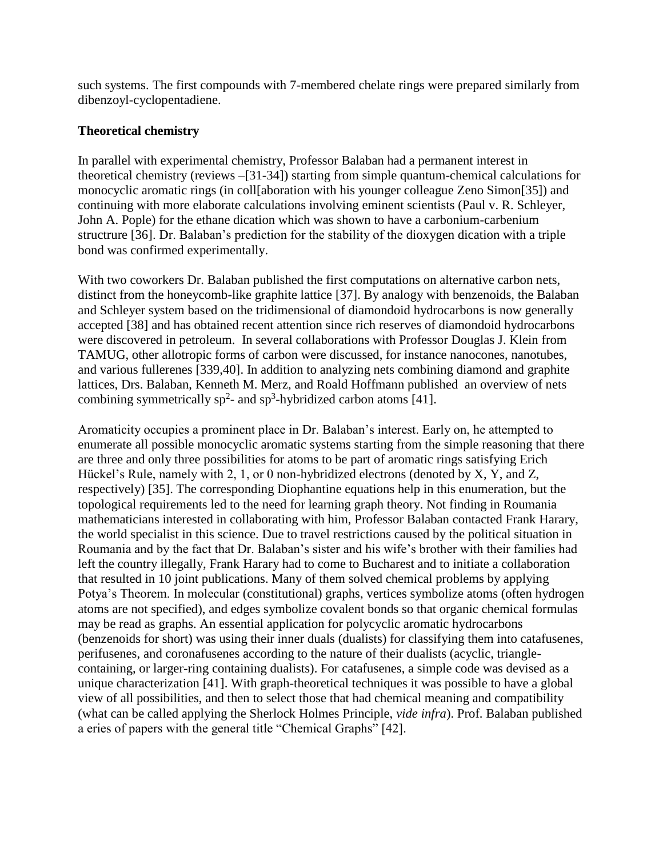such systems. The first compounds with 7-membered chelate rings were prepared similarly from dibenzoyl-cyclopentadiene.

# **Theoretical chemistry**

In parallel with experimental chemistry, Professor Balaban had a permanent interest in theoretical chemistry (reviews –[31-34]) starting from simple quantum-chemical calculations for monocyclic aromatic rings (in coll[aboration with his younger colleague Zeno Simon[35]) and continuing with more elaborate calculations involving eminent scientists (Paul v. R. Schleyer, John A. Pople) for the ethane dication which was shown to have a carbonium-carbenium structrure [36]. Dr. Balaban's prediction for the stability of the dioxygen dication with a triple bond was confirmed experimentally.

With two coworkers Dr. Balaban published the first computations on alternative carbon nets, distinct from the honeycomb-like graphite lattice [37]. By analogy with benzenoids, the Balaban and Schleyer system based on the tridimensional of diamondoid hydrocarbons is now generally accepted [38] and has obtained recent attention since rich reserves of diamondoid hydrocarbons were discovered in petroleum. In several collaborations with Professor Douglas J. Klein from TAMUG, other allotropic forms of carbon were discussed, for instance nanocones, nanotubes, and various fullerenes [339,40]. In addition to analyzing nets combining diamond and graphite lattices, Drs. Balaban, Kenneth M. Merz, and Roald Hoffmann published an overview of nets combining symmetrically sp<sup>2</sup>- and sp<sup>3</sup>-hybridized carbon atoms [41].

Aromaticity occupies a prominent place in Dr. Balaban's interest. Early on, he attempted to enumerate all possible monocyclic aromatic systems starting from the simple reasoning that there are three and only three possibilities for atoms to be part of aromatic rings satisfying Erich Hückel's Rule, namely with 2, 1, or 0 non-hybridized electrons (denoted by X, Y, and Z, respectively) [35]. The corresponding Diophantine equations help in this enumeration, but the topological requirements led to the need for learning graph theory. Not finding in Roumania mathematicians interested in collaborating with him, Professor Balaban contacted Frank Harary, the world specialist in this science. Due to travel restrictions caused by the political situation in Roumania and by the fact that Dr. Balaban's sister and his wife's brother with their families had left the country illegally, Frank Harary had to come to Bucharest and to initiate a collaboration that resulted in 10 joint publications. Many of them solved chemical problems by applying Potya's Theorem. In molecular (constitutional) graphs, vertices symbolize atoms (often hydrogen atoms are not specified), and edges symbolize covalent bonds so that organic chemical formulas may be read as graphs. An essential application for polycyclic aromatic hydrocarbons (benzenoids for short) was using their inner duals (dualists) for classifying them into catafusenes, perifusenes, and coronafusenes according to the nature of their dualists (acyclic, trianglecontaining, or larger-ring containing dualists). For catafusenes, a simple code was devised as a unique characterization [41]. With graph-theoretical techniques it was possible to have a global view of all possibilities, and then to select those that had chemical meaning and compatibility (what can be called applying the Sherlock Holmes Principle, *vide infra*). Prof. Balaban published a eries of papers with the general title "Chemical Graphs" [42].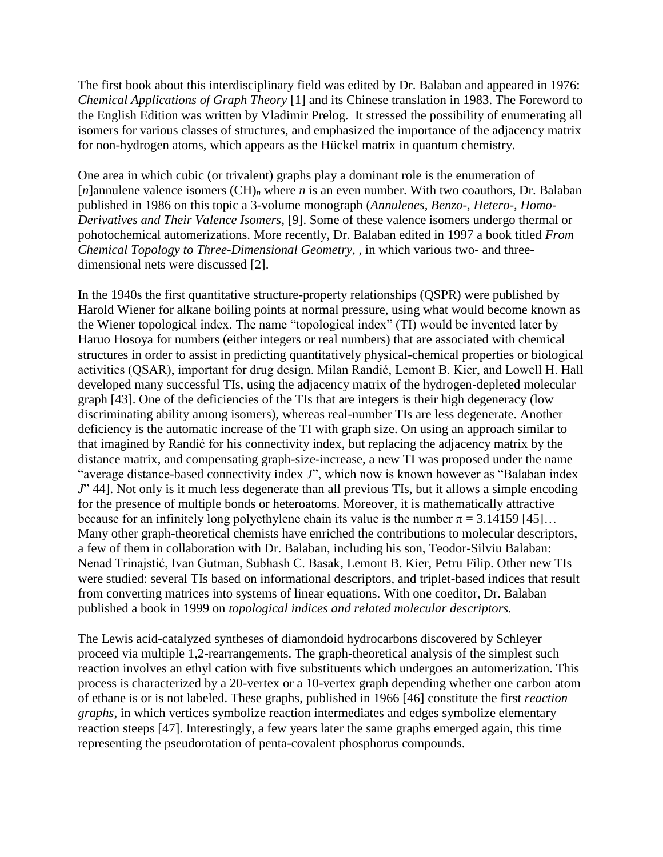The first book about this interdisciplinary field was edited by Dr. Balaban and appeared in 1976: *Chemical Applications of Graph Theory* [1] and its Chinese translation in 1983. The Foreword to the English Edition was written by Vladimir Prelog. It stressed the possibility of enumerating all isomers for various classes of structures, and emphasized the importance of the adjacency matrix for non-hydrogen atoms, which appears as the Hückel matrix in quantum chemistry.

One area in which cubic (or trivalent) graphs play a dominant role is the enumeration of [*n*]annulene valence isomers (CH)*<sup>n</sup>* where *n* is an even number. With two coauthors, Dr. Balaban published in 1986 on this topic a 3-volume monograph (*Annulenes, Benzo-, Hetero-, Homo-Derivatives and Their Valence Isomers*, [9]. Some of these valence isomers undergo thermal or pohotochemical automerizations. More recently, Dr. Balaban edited in 1997 a book titled *From Chemical Topology to Three-Dimensional Geometry*, , in which various two- and threedimensional nets were discussed [2].

In the 1940s the first quantitative structure-property relationships (QSPR) were published by Harold Wiener for alkane boiling points at normal pressure, using what would become known as the Wiener topological index. The name "topological index" (TI) would be invented later by Haruo Hosoya for numbers (either integers or real numbers) that are associated with chemical structures in order to assist in predicting quantitatively physical-chemical properties or biological activities (QSAR), important for drug design. Milan Randić, Lemont B. Kier, and Lowell H. Hall developed many successful TIs, using the adjacency matrix of the hydrogen-depleted molecular graph [43]. One of the deficiencies of the TIs that are integers is their high degeneracy (low discriminating ability among isomers), whereas real-number TIs are less degenerate. Another deficiency is the automatic increase of the TI with graph size. On using an approach similar to that imagined by Randić for his connectivity index, but replacing the adjacency matrix by the distance matrix, and compensating graph-size-increase, a new TI was proposed under the name "average distance-based connectivity index *J*", which now is known however as "Balaban index *J*" 44]. Not only is it much less degenerate than all previous TIs, but it allows a simple encoding for the presence of multiple bonds or heteroatoms. Moreover, it is mathematically attractive because for an infinitely long polyethylene chain its value is the number  $\pi = 3.14159$  [45]... Many other graph-theoretical chemists have enriched the contributions to molecular descriptors, a few of them in collaboration with Dr. Balaban, including his son, Teodor-Silviu Balaban: Nenad Trinajstić, Ivan Gutman, Subhash C. Basak, Lemont B. Kier, Petru Filip. Other new TIs were studied: several TIs based on informational descriptors, and triplet-based indices that result from converting matrices into systems of linear equations. With one coeditor, Dr. Balaban published a book in 1999 on *topological indices and related molecular descriptors.*

The Lewis acid-catalyzed syntheses of diamondoid hydrocarbons discovered by Schleyer proceed via multiple 1,2-rearrangements. The graph-theoretical analysis of the simplest such reaction involves an ethyl cation with five substituents which undergoes an automerization. This process is characterized by a 20-vertex or a 10-vertex graph depending whether one carbon atom of ethane is or is not labeled. These graphs, published in 1966 [46] constitute the first *reaction graphs*, in which vertices symbolize reaction intermediates and edges symbolize elementary reaction steeps [47]. Interestingly, a few years later the same graphs emerged again, this time representing the pseudorotation of penta-covalent phosphorus compounds.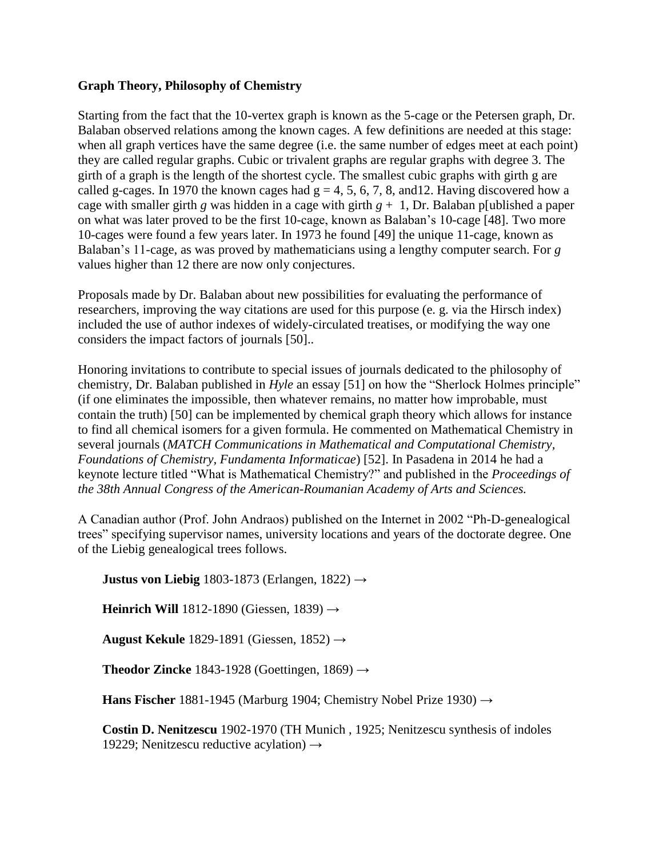# **Graph Theory, Philosophy of Chemistry**

Starting from the fact that the 10-vertex graph is known as the 5-cage or the Petersen graph, Dr. Balaban observed relations among the known cages. A few definitions are needed at this stage: when all graph vertices have the same degree (i.e. the same number of edges meet at each point) they are called regular graphs. Cubic or trivalent graphs are regular graphs with degree 3. The girth of a graph is the length of the shortest cycle. The smallest cubic graphs with girth g are called g-cages. In 1970 the known cages had  $g = 4, 5, 6, 7, 8$ , and 12. Having discovered how a cage with smaller girth *g* was hidden in a cage with girth  $g + 1$ , Dr. Balaban p[ublished a paper on what was later proved to be the first 10-cage, known as Balaban's 10-cage [48]. Two more 10-cages were found a few years later. In 1973 he found [49] the unique 11-cage, known as Balaban's 11-cage, as was proved by mathematicians using a lengthy computer search. For *g* values higher than 12 there are now only conjectures.

Proposals made by Dr. Balaban about new possibilities for evaluating the performance of researchers, improving the way citations are used for this purpose (e. g. via the Hirsch index) included the use of author indexes of widely-circulated treatises, or modifying the way one considers the impact factors of journals [50]..

Honoring invitations to contribute to special issues of journals dedicated to the philosophy of chemistry, Dr. Balaban published in *Hyle* an essay [51] on how the "Sherlock Holmes principle" (if one eliminates the impossible, then whatever remains, no matter how improbable, must contain the truth) [50] can be implemented by chemical graph theory which allows for instance to find all chemical isomers for a given formula. He commented on Mathematical Chemistry in several journals (*MATCH Communications in Mathematical and Computational Chemistry, Foundations of Chemistry, Fundamenta Informaticae*) [52]. In Pasadena in 2014 he had a keynote lecture titled "What is Mathematical Chemistry?" and published in the *Proceedings of the 38th Annual Congress of the American-Roumanian Academy of Arts and Sciences.*

A Canadian author (Prof. John Andraos) published on the Internet in 2002 "Ph-D-genealogical trees" specifying supervisor names, university locations and years of the doctorate degree. One of the Liebig genealogical trees follows.

**Justus von Liebig** 1803-1873 (Erlangen, 1822) **→**

**Heinrich Will** 1812-1890 (Giessen, 1839) **→**

**August Kekule** 1829-1891 (Giessen, 1852) **→**

**Theodor Zincke** 1843-1928 (Goettingen, 1869) **→**

**Hans Fischer** 1881-1945 (Marburg 1904; Chemistry Nobel Prize 1930) **→**

**Costin D. Nenitzescu** 1902-1970 (TH Munich , 1925; Nenitzescu synthesis of indoles 19229; Nenitzescu reductive acylation) **→**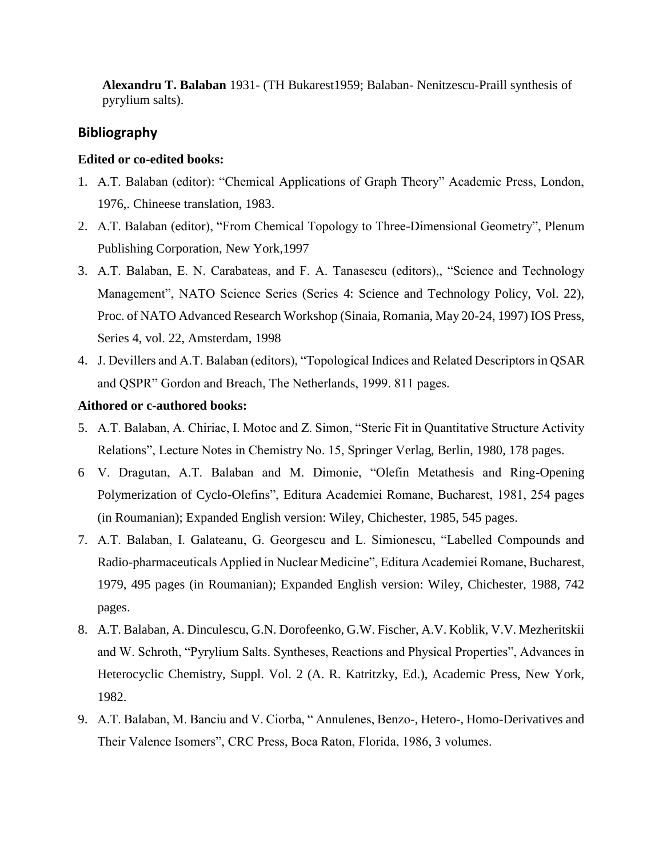**Alexandru T. Balaban** 1931- (TH Bukarest1959; Balaban- Nenitzescu-Praill synthesis of pyrylium salts).

# **Bibliography**

# **Edited or co-edited books:**

- 1. A.T. Balaban (editor): "Chemical Applications of Graph Theory" Academic Press, London, 1976,. Chineese translation, 1983.
- 2. A.T. Balaban (editor), "From Chemical Topology to Three-Dimensional Geometry", Plenum Publishing Corporation, New York,1997
- 3. A.T. Balaban, E. N. Carabateas, and F. A. Tanasescu (editors),, "Science and Technology Management", NATO Science Series (Series 4: Science and Technology Policy, Vol. 22), Proc. of NATO Advanced Research Workshop (Sinaia, Romania, May 20-24, 1997) IOS Press, Series 4, vol. 22, Amsterdam, 1998
- 4. J. Devillers and A.T. Balaban (editors), "Topological Indices and Related Descriptors in QSAR and QSPR" Gordon and Breach, The Netherlands, 1999. 811 pages.

# **Aithored or c-authored books:**

- 5. A.T. Balaban, A. Chiriac, I. Motoc and Z. Simon, "Steric Fit in Quantitative Structure Activity Relations", Lecture Notes in Chemistry No. 15, Springer Verlag, Berlin, 1980, 178 pages.
- 6 V. Dragutan, A.T. Balaban and M. Dimonie, "Olefin Metathesis and Ring-Opening Polymerization of Cyclo-Olefins", Editura Academiei Romane, Bucharest, 1981, 254 pages (in Roumanian); Expanded English version: Wiley, Chichester, 1985, 545 pages.
- 7. A.T. Balaban, I. Galateanu, G. Georgescu and L. Simionescu, "Labelled Compounds and Radio-pharmaceuticals Applied in Nuclear Medicine", Editura Academiei Romane, Bucharest, 1979, 495 pages (in Roumanian); Expanded English version: Wiley, Chichester, 1988, 742 pages.
- 8. A.T. Balaban, A. Dinculescu, G.N. Dorofeenko, G.W. Fischer, A.V. Koblik, V.V. Mezheritskii and W. Schroth, "Pyrylium Salts. Syntheses, Reactions and Physical Properties", Advances in Heterocyclic Chemistry, Suppl. Vol. 2 (A. R. Katritzky, Ed.), Academic Press, New York, 1982.
- 9. A.T. Balaban, M. Banciu and V. Ciorba, " Annulenes, Benzo-, Hetero-, Homo-Derivatives and Their Valence Isomers", CRC Press, Boca Raton, Florida, 1986, 3 volumes.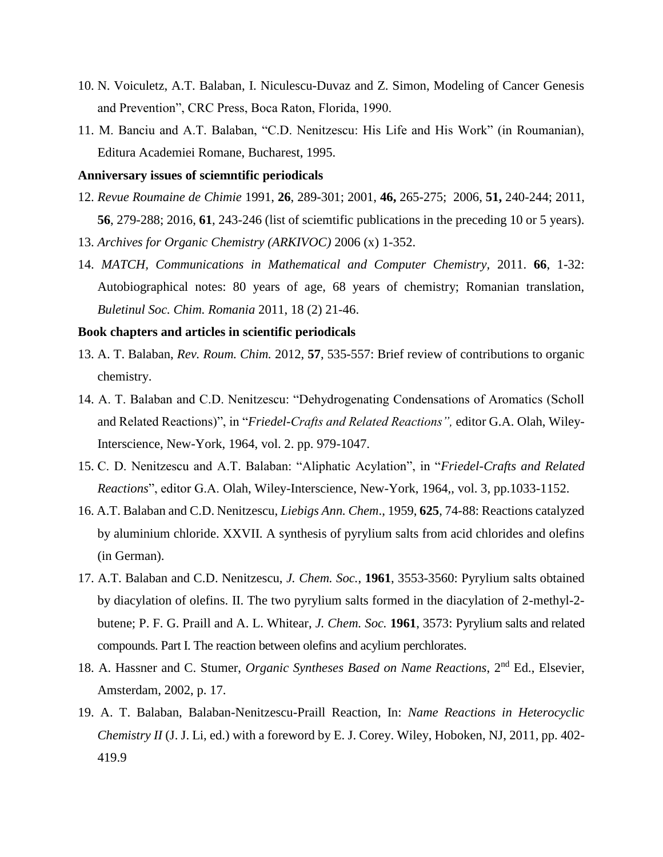- 10. N. Voiculetz, A.T. Balaban, I. Niculescu-Duvaz and Z. Simon, Modeling of Cancer Genesis and Prevention", CRC Press, Boca Raton, Florida, 1990.
- 11. M. Banciu and A.T. Balaban, "C.D. Nenitzescu: His Life and His Work" (in Roumanian), Editura Academiei Romane, Bucharest, 1995.

#### **Anniversary issues of sciemntific periodicals**

- 12. *Revue Roumaine de Chimie* 1991, **26**, 289-301; 2001, **46,** 265-275; 2006, **51,** 240-244; 2011, **56**, 279-288; 2016, **61**, 243-246 (list of sciemtific publications in the preceding 10 or 5 years).
- 13. *Archives for Organic Chemistry (ARKIVOC)* 2006 (x) 1-352.
- 14. *MATCH, Communications in Mathematical and Computer Chemistry,* 2011. **66**, 1-32: Autobiographical notes: 80 years of age, 68 years of chemistry; Romanian translation, *Buletinul Soc. Chim. Romania* 2011, 18 (2) 21-46.

#### **Book chapters and articles in scientific periodicals**

- 13. A. T. Balaban, *Rev. Roum. Chim.* 2012, **57**, 535-557: Brief review of contributions to organic chemistry.
- 14. A. T. Balaban and C.D. Nenitzescu: "Dehydrogenating Condensations of Aromatics (Scholl and Related Reactions)", in "*Friedel-Crafts and Related Reactions",* editor G.A. Olah, Wiley-Interscience, New-York, 1964, vol. 2. pp. 979-1047.
- 15. C. D. Nenitzescu and A.T. Balaban: "Aliphatic Acylation", in "*Friedel-Crafts and Related Reactions*", editor G.A. Olah, Wiley-Interscience, New-York, 1964,, vol. 3, pp.1033-1152.
- 16. A.T. Balaban and C.D. Nenitzescu, *Liebigs Ann. Chem*., 1959, **625**, 74-88: Reactions catalyzed by aluminium chloride. XXVII. A synthesis of pyrylium salts from acid chlorides and olefins (in German).
- 17. A.T. Balaban and C.D. Nenitzescu, *J. Chem. Soc.*, **1961**, 3553-3560: Pyrylium salts obtained by diacylation of olefins. II. The two pyrylium salts formed in the diacylation of 2-methyl-2 butene; P. F. G. Praill and A. L. Whitear, *J. Chem. Soc.* **1961**, 3573: Pyrylium salts and related compounds. Part I. The reaction between olefins and acylium perchlorates.
- 18. A. Hassner and C. Stumer, *Organic Syntheses Based on Name Reactions*, 2nd Ed., Elsevier, Amsterdam, 2002, p. 17.
- 19. A. T. Balaban, Balaban-Nenitzescu-Praill Reaction, In: *Name Reactions in Heterocyclic Chemistry II* (J. J. Li, ed.) with a foreword by E. J. Corey. Wiley, Hoboken, NJ, 2011, pp. 402-419.9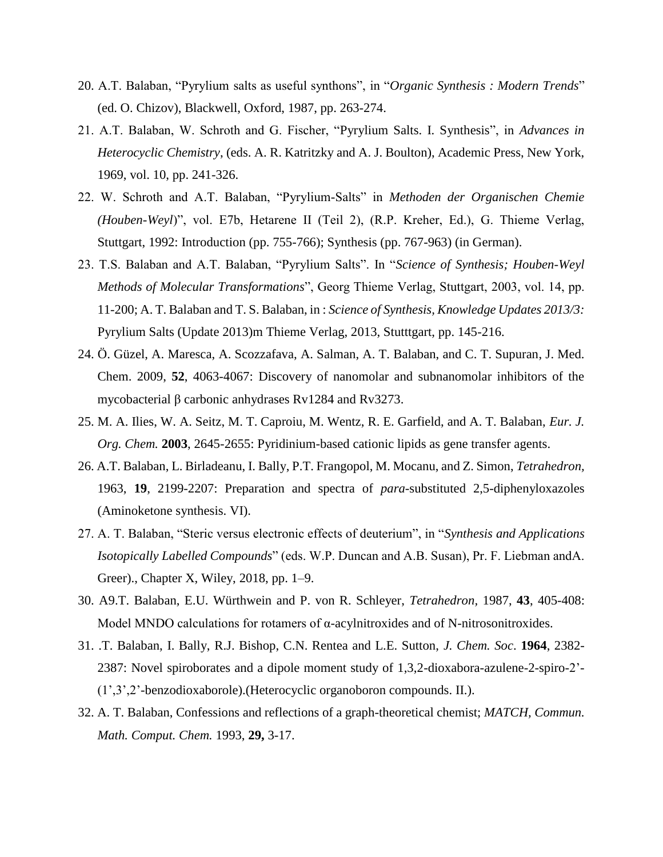- 20. A.T. Balaban, "Pyrylium salts as useful synthons", in "*Organic Synthesis : Modern Trends*" (ed. O. Chizov), Blackwell, Oxford, 1987, pp. 263-274.
- 21. A.T. Balaban, W. Schroth and G. Fischer, "Pyrylium Salts. I. Synthesis", in *Advances in Heterocyclic Chemistry*, (eds. A. R. Katritzky and A. J. Boulton), Academic Press, New York, 1969, vol. 10, pp. 241-326.
- 22. W. Schroth and A.T. Balaban, "Pyrylium-Salts" in *Methoden der Organischen Chemie (Houben-Weyl*)", vol. E7b, Hetarene II (Teil 2), (R.P. Kreher, Ed.), G. Thieme Verlag, Stuttgart, 1992: Introduction (pp. 755-766); Synthesis (pp. 767-963) (in German).
- 23. T.S. Balaban and A.T. Balaban, "Pyrylium Salts". In "*Science of Synthesis; Houben-Weyl Methods of Molecular Transformations*", Georg Thieme Verlag, Stuttgart, 2003, vol. 14, pp. 11-200; A. T. Balaban and T. S. Balaban, in : *Science of Synthesis, Knowledge Updates 2013/3:* Pyrylium Salts (Update 2013)m Thieme Verlag, 2013, Stutttgart, pp. 145-216.
- 24. Ö. Güzel, A. Maresca, A. Scozzafava, A. Salman, A. T. Balaban, and C. T. Supuran, J. Med. Chem. 2009, **52**, 4063-4067: Discovery of nanomolar and subnanomolar inhibitors of the mycobacterial β carbonic anhydrases Rv1284 and Rv3273.
- 25. M. A. Ilies, W. A. Seitz, M. T. Caproiu, M. Wentz, R. E. Garfield, and A. T. Balaban, *Eur. J. Org. Chem.* **2003**, 2645-2655: Pyridinium-based cationic lipids as gene transfer agents.
- 26. A.T. Balaban, L. Birladeanu, I. Bally, P.T. Frangopol, M. Mocanu, and Z. Simon, *Tetrahedron,* 1963, **19**, 2199-2207: Preparation and spectra of *para*-substituted 2,5-diphenyloxazoles (Aminoketone synthesis. VI).
- 27. A. T. Balaban, "Steric versus electronic effects of deuterium", in "*Synthesis and Applications Isotopically Labelled Compounds*" (eds. W.P. Duncan and A.B. Susan), Pr. F. Liebman andA. Greer)., Chapter X, Wiley, 2018, pp. 1–9.
- 30. A9.T. Balaban, E.U. Würthwein and P. von R. Schleyer, *Tetrahedron,* 1987, **43**, 405-408: Model MNDO calculations for rotamers of α-acylnitroxides and of N-nitrosonitroxides.
- 31. .T. Balaban, I. Bally, R.J. Bishop, C.N. Rentea and L.E. Sutton, *J. Chem. Soc*. **1964**, 2382- 2387: Novel spiroborates and a dipole moment study of 1,3,2-dioxabora-azulene-2-spiro-2'- (1',3',2'-benzodioxaborole).(Heterocyclic organoboron compounds. II.).
- 32. A. T. Balaban, Confessions and reflections of a graph-theoretical chemist; *MATCH, Commun. Math. Comput. Chem.* 1993, **29,** 3-17.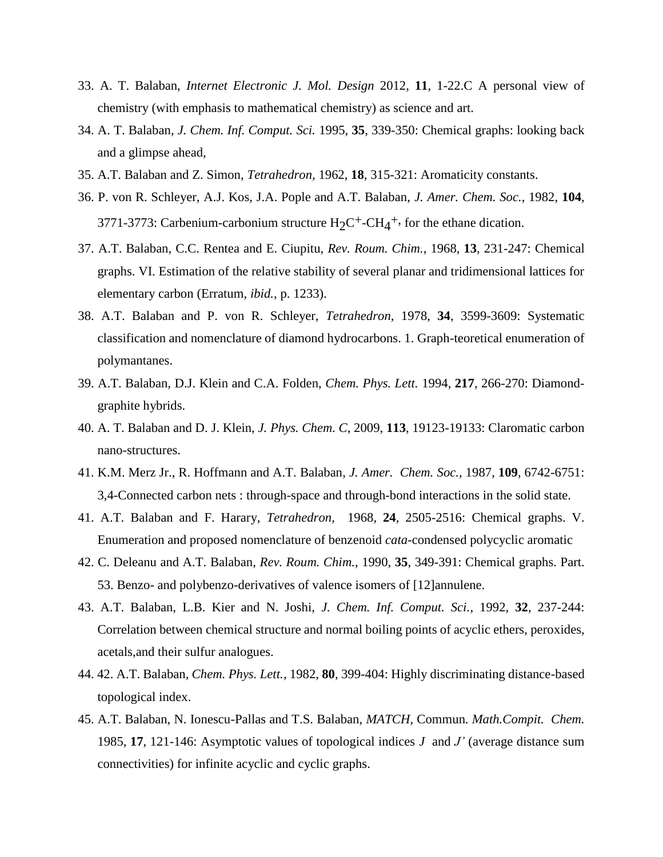- 33. A. T. Balaban, *Internet Electronic J. Mol. Design* 2012, **11**, 1-22.C A personal view of chemistry (with emphasis to mathematical chemistry) as science and art.
- 34. A. T. Balaban, *J. Chem. Inf. Comput. Sci.* 1995, **35**, 339-350: Chemical graphs: looking back and a glimpse ahead,
- 35. A.T. Balaban and Z. Simon, *Tetrahedron,* 1962, **18**, 315-321: Aromaticity constants.
- 36. P. von R. Schleyer, A.J. Kos, J.A. Pople and A.T. Balaban, *J. Amer. Chem. Soc.*, 1982, **104**, 3771-3773: Carbenium-carbonium structure  $H_2C^+$ -C $H_4^+$ , for the ethane dication.
- 37. A.T. Balaban, C.C. Rentea and E. Ciupitu, *Rev. Roum. Chim.*, 1968, **13**, 231-247: Chemical graphs. VI. Estimation of the relative stability of several planar and tridimensional lattices for elementary carbon (Erratum, *ibid.*, p. 1233).
- 38. A.T. Balaban and P. von R. Schleyer, *Tetrahedron,* 1978, **34**, 3599-3609: Systematic classification and nomenclature of diamond hydrocarbons. 1. Graph-teoretical enumeration of polymantanes.
- 39. A.T. Balaban, D.J. Klein and C.A. Folden, *Chem. Phys. Lett.* 1994, **217**, 266-270: Diamondgraphite hybrids.
- 40. A. T. Balaban and D. J. Klein, *J. Phys. Chem. C*, 2009, **113**, 19123-19133: Claromatic carbon nano-structures.
- 41. K.M. Merz Jr., R. Hoffmann and A.T. Balaban, *J. Amer. Chem. Soc.,* 1987, **109**, 6742-6751: 3,4-Connected carbon nets : through-space and through-bond interactions in the solid state.
- 41. A.T. Balaban and F. Harary, *Tetrahedron,* 1968, **24**, 2505-2516: Chemical graphs. V. Enumeration and proposed nomenclature of benzenoid *cata*-condensed polycyclic aromatic
- 42. C. Deleanu and A.T. Balaban, *Rev. Roum. Chim.*, 1990, **35**, 349-391: Chemical graphs. Part. 53. Benzo- and polybenzo-derivatives of valence isomers of [12]annulene.
- 43. A.T. Balaban, L.B. Kier and N. Joshi, *J. Chem. Inf. Comput. Sci.*, 1992, **32**, 237-244: Correlation between chemical structure and normal boiling points of acyclic ethers, peroxides, acetals,and their sulfur analogues.
- 44. 42. A.T. Balaban, *Chem. Phys. Lett.*, 1982, **80**, 399-404: Highly discriminating distance-based topological index.
- 45. A.T. Balaban, N. Ionescu-Pallas and T.S. Balaban, *MATCH*, Commun. *Math.Compit. Chem.*  1985, **17**, 121-146: Asymptotic values of topological indices *J* and *J'* (average distance sum connectivities) for infinite acyclic and cyclic graphs.